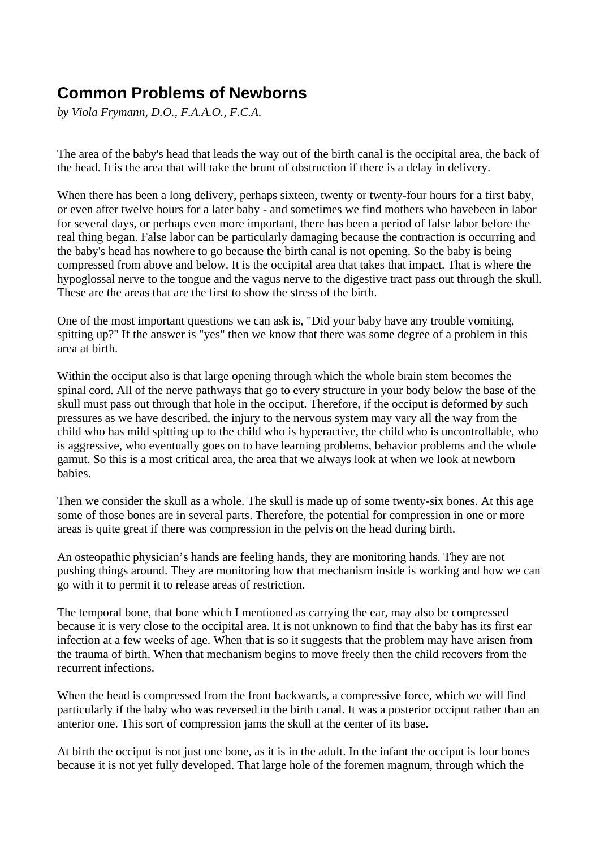## **Common Problems of Newborns**

*by Viola Frymann, D.O., F.A.A.O., F.C.A.*

The area of the baby's head that leads the way out of the birth canal is the occipital area, the back of the head. It is the area that will take the brunt of obstruction if there is a delay in delivery.

When there has been a long delivery, perhaps sixteen, twenty or twenty-four hours for a first baby, or even after twelve hours for a later baby - and sometimes we find mothers who havebeen in labor for several days, or perhaps even more important, there has been a period of false labor before the real thing began. False labor can be particularly damaging because the contraction is occurring and the baby's head has nowhere to go because the birth canal is not opening. So the baby is being compressed from above and below. It is the occipital area that takes that impact. That is where the hypoglossal nerve to the tongue and the vagus nerve to the digestive tract pass out through the skull. These are the areas that are the first to show the stress of the birth.

One of the most important questions we can ask is, "Did your baby have any trouble vomiting, spitting up?" If the answer is "yes" then we know that there was some degree of a problem in this area at birth.

Within the occiput also is that large opening through which the whole brain stem becomes the spinal cord. All of the nerve pathways that go to every structure in your body below the base of the skull must pass out through that hole in the occiput. Therefore, if the occiput is deformed by such pressures as we have described, the injury to the nervous system may vary all the way from the child who has mild spitting up to the child who is hyperactive, the child who is uncontrollable, who is aggressive, who eventually goes on to have learning problems, behavior problems and the whole gamut. So this is a most critical area, the area that we always look at when we look at newborn babies.

Then we consider the skull as a whole. The skull is made up of some twenty-six bones. At this age some of those bones are in several parts. Therefore, the potential for compression in one or more areas is quite great if there was compression in the pelvis on the head during birth.

An osteopathic physician's hands are feeling hands, they are monitoring hands. They are not pushing things around. They are monitoring how that mechanism inside is working and how we can go with it to permit it to release areas of restriction.

The temporal bone, that bone which I mentioned as carrying the ear, may also be compressed because it is very close to the occipital area. It is not unknown to find that the baby has its first ear infection at a few weeks of age. When that is so it suggests that the problem may have arisen from the trauma of birth. When that mechanism begins to move freely then the child recovers from the recurrent infections.

When the head is compressed from the front backwards, a compressive force, which we will find particularly if the baby who was reversed in the birth canal. It was a posterior occiput rather than an anterior one. This sort of compression jams the skull at the center of its base.

At birth the occiput is not just one bone, as it is in the adult. In the infant the occiput is four bones because it is not yet fully developed. That large hole of the foremen magnum, through which the